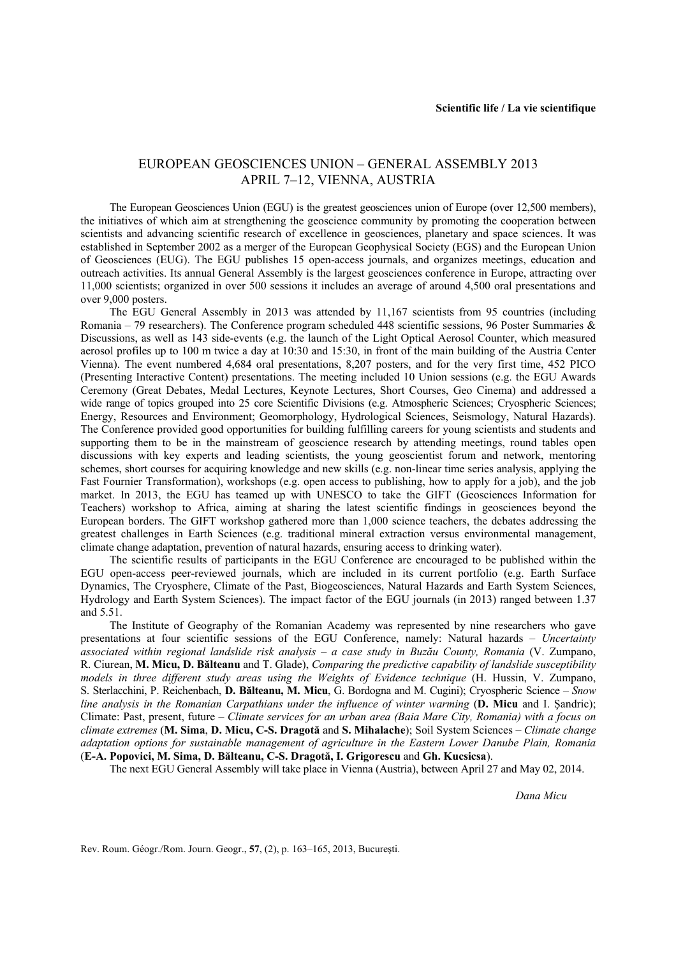## EUROPEAN GEOSCIENCES UNION – GENERAL ASSEMBLY 2013 APRIL 7–12, VIENNA, AUSTRIA

The European Geosciences Union (EGU) is the greatest geosciences union of Europe (over 12,500 members), the initiatives of which aim at strengthening the geoscience community by promoting the cooperation between scientists and advancing scientific research of excellence in geosciences, planetary and space sciences. It was established in September 2002 as a merger of the European Geophysical Society (EGS) and the European Union of Geosciences (EUG). The EGU publishes 15 open-access journals, and organizes meetings, education and outreach activities. Its annual General Assembly is the largest geosciences conference in Europe, attracting over 11,000 scientists; organized in over 500 sessions it includes an average of around 4,500 oral presentations and over 9,000 posters.

The EGU General Assembly in 2013 was attended by 11,167 scientists from 95 countries (including Romania – 79 researchers). The Conference program scheduled 448 scientific sessions, 96 Poster Summaries  $\&$ Discussions, as well as 143 side-events (e.g. the launch of the Light Optical Aerosol Counter, which measured aerosol profiles up to 100 m twice a day at 10:30 and 15:30, in front of the main building of the Austria Center Vienna). The event numbered 4,684 oral presentations, 8,207 posters, and for the very first time, 452 PICO (Presenting Interactive Content) presentations. The meeting included 10 Union sessions (e.g. the EGU Awards Ceremony (Great Debates, Medal Lectures, Keynote Lectures, Short Courses, Geo Cinema) and addressed a wide range of topics grouped into 25 core Scientific Divisions (e.g. Atmospheric Sciences; Cryospheric Sciences; Energy, Resources and Environment; Geomorphology, Hydrological Sciences, Seismology, Natural Hazards). The Conference provided good opportunities for building fulfilling careers for young scientists and students and supporting them to be in the mainstream of geoscience research by attending meetings, round tables open discussions with key experts and leading scientists, the young geoscientist forum and network, mentoring schemes, short courses for acquiring knowledge and new skills (e.g. non-linear time series analysis, applying the Fast Fournier Transformation), workshops (e.g. open access to publishing, how to apply for a job), and the job market. In 2013, the EGU has teamed up with UNESCO to take the GIFT (Geosciences Information for Teachers) workshop to Africa, aiming at sharing the latest scientific findings in geosciences beyond the European borders. The GIFT workshop gathered more than 1,000 science teachers, the debates addressing the greatest challenges in Earth Sciences (e.g. traditional mineral extraction versus environmental management, climate change adaptation, prevention of natural hazards, ensuring access to drinking water).

The scientific results of participants in the EGU Conference are encouraged to be published within the EGU open-access peer-reviewed journals, which are included in its current portfolio (e.g. Earth Surface Dynamics, The Cryosphere, Climate of the Past, Biogeosciences, Natural Hazards and Earth System Sciences, Hydrology and Earth System Sciences). The impact factor of the EGU journals (in 2013) ranged between 1.37 and 5.51.

The Institute of Geography of the Romanian Academy was represented by nine researchers who gave presentations at four scientific sessions of the EGU Conference, namely: Natural hazards – *Uncertainty associated within regional landslide risk analysis – a case study in Buzău County, Romania* (V. Zumpano, R. Ciurean, **M. Micu, D. Bălteanu** and T. Glade), *Comparing the predictive capability of landslide susceptibility models in three different study areas using the Weights of Evidence technique* (H. Hussin, V. Zumpano, S. Sterlacchini, P. Reichenbach, **D. Bălteanu, M. Micu**, G. Bordogna and M. Cugini); Cryospheric Science – *Snow line analysis in the Romanian Carpathians under the influence of winter warming* (**D. Micu** and I. Şandric); Climate: Past, present, future – *Climate services for an urban area (Baia Mare City, Romania) with a focus on climate extremes* (**M. Sima**, **D. Micu, C-S. Dragotă** and **S. Mihalache**); Soil System Sciences – *Climate change adaptation options for sustainable management of agriculture in the Eastern Lower Danube Plain, Romania*  (**E-A. Popovici, M. Sima, D. Bălteanu, C-S. Dragotă, I. Grigorescu** and **Gh. Kucsicsa**).

The next EGU General Assembly will take place in Vienna (Austria), between April 27 and May 02, 2014.

*Dana Micu* 

Rev. Roum. Géogr./Rom. Journ. Geogr., **57**, (2), p. 163–165, 2013, Bucureşti.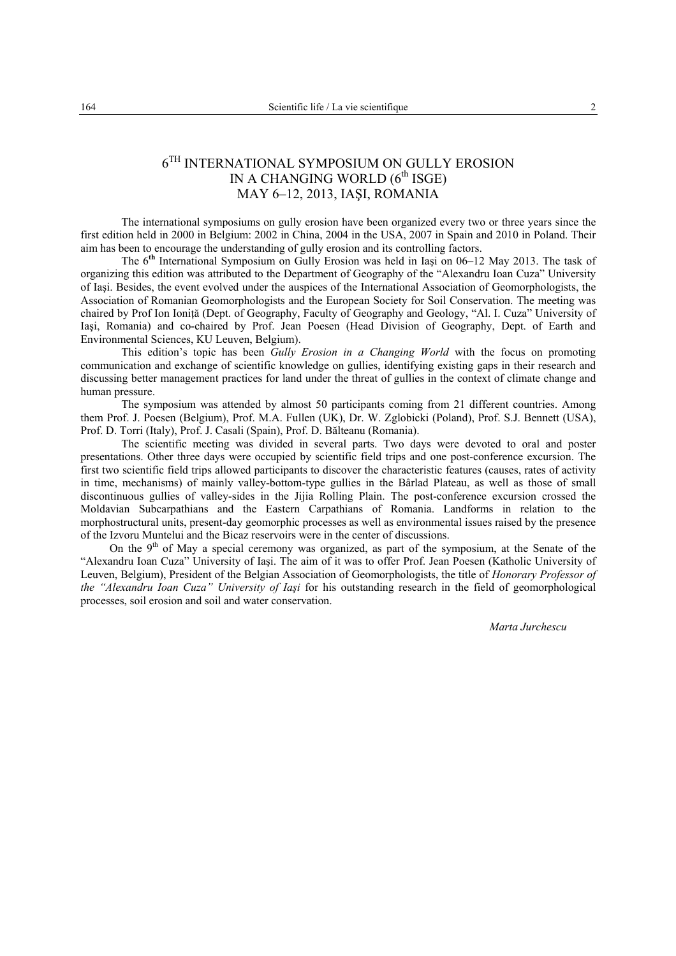## $6^\mathrm{TH}$  INTERNATIONAL SYMPOSIUM ON GULLY EROSION IN A CHANGING WORLD  $(6<sup>th</sup> \text{ISGE})$ MAY 6–12, 2013, IAŞI, ROMANIA

The international symposiums on gully erosion have been organized every two or three years since the first edition held in 2000 in Belgium: 2002 in China, 2004 in the USA, 2007 in Spain and 2010 in Poland. Their aim has been to encourage the understanding of gully erosion and its controlling factors.

The 6**th** International Symposium on Gully Erosion was held in Iaşi on 06–12 May 2013. The task of organizing this edition was attributed to the Department of Geography of the "Alexandru Ioan Cuza" University of Iaşi. Besides, the event evolved under the auspices of the International Association of Geomorphologists, the Association of Romanian Geomorphologists and the European Society for Soil Conservation. The meeting was chaired by Prof Ion Ioniţă (Dept. of Geography, Faculty of Geography and Geology, "Al. I. Cuza" University of Iaşi, Romania) and co-chaired by Prof. Jean Poesen (Head Division of Geography, Dept. of Earth and Environmental Sciences, KU Leuven, Belgium).

This edition's topic has been *Gully Erosion in a Changing World* with the focus on promoting communication and exchange of scientific knowledge on gullies, identifying existing gaps in their research and discussing better management practices for land under the threat of gullies in the context of climate change and human pressure.

The symposium was attended by almost 50 participants coming from 21 different countries. Among them Prof. J. Poesen (Belgium), Prof. M.A. Fullen (UK), Dr. W. Zglobicki (Poland), Prof. S.J. Bennett (USA), Prof. D. Torri (Italy), Prof. J. Casali (Spain), Prof. D. Bălteanu (Romania).

The scientific meeting was divided in several parts. Two days were devoted to oral and poster presentations. Other three days were occupied by scientific field trips and one post-conference excursion. The first two scientific field trips allowed participants to discover the characteristic features (causes, rates of activity in time, mechanisms) of mainly valley-bottom-type gullies in the Bârlad Plateau, as well as those of small discontinuous gullies of valley-sides in the Jijia Rolling Plain. The post-conference excursion crossed the Moldavian Subcarpathians and the Eastern Carpathians of Romania. Landforms in relation to the morphostructural units, present-day geomorphic processes as well as environmental issues raised by the presence of the Izvoru Muntelui and the Bicaz reservoirs were in the center of discussions.

On the  $9<sup>th</sup>$  of May a special ceremony was organized, as part of the symposium, at the Senate of the "Alexandru Ioan Cuza" University of Iaşi. The aim of it was to offer Prof. Jean Poesen (Katholic University of Leuven, Belgium), President of the Belgian Association of Geomorphologists, the title of *Honorary Professor of the "Alexandru Ioan Cuza" University of Iaşi* for his outstanding research in the field of geomorphological processes, soil erosion and soil and water conservation.

*Marta Jurchescu*